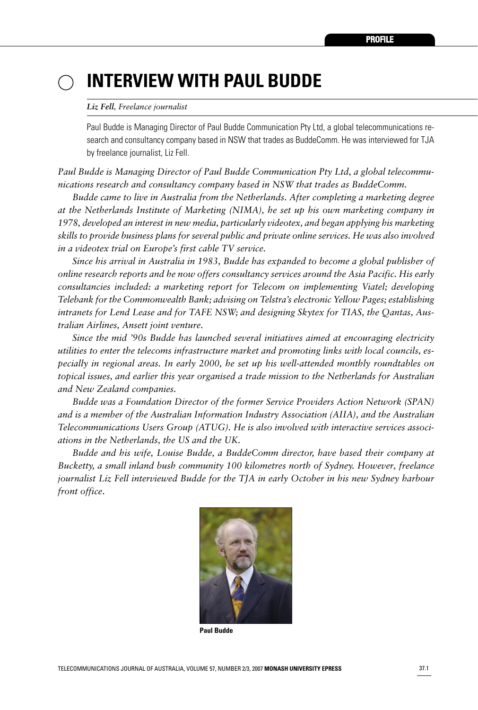# **INTERVIEW WITH PAUL BUDDE**

#### *Liz Fell, Freelance journalist*

Paul Budde is Managing Director of Paul Budde Communication Pty Ltd, a global telecommunications research and consultancy company based in NSW that trades as BuddeComm. He was interviewed for TJA by freelance journalist, Liz Fell.

*Paul Budde is Managing Director of Paul Budde Communication Pty Ltd, a global telecommunications research and consultancy company based in NSW that trades as BuddeComm.*

*Budde came to live in Australia from the Netherlands. After completing a marketing degree at the Netherlands Institute of Marketing (NIMA), he set up his own marketing company in 1978, developed an interest in new media, particularly videotex, and began applying his marketing skills to provide business plans for several public and private online services. He was also involved in a videotex trial on Europe's first cable TV service.*

*Since his arrival in Australia in 1983, Budde has expanded to become a global publisher of online research reports and he now offers consultancy services around the Asia Pacific. His early consultancies included: a marketing report for Telecom on implementing Viatel; developing Telebank for the Commonwealth Bank; advising on Telstra's electronic Yellow Pages; establishing intranets for Lend Lease and for TAFE NSW; and designing Skytex for TIAS, the Qantas, Australian Airlines, Ansett joint venture.*

*Since the mid '90s Budde has launched several initiatives aimed at encouraging electricity utilities to enter the telecoms infrastructure market and promoting links with local councils, especially in regional areas. In early 2000, he set up his well-attended monthly roundtables on topical issues, and earlier this year organised a trade mission to the Netherlands for Australian and New Zealand companies.*

*Budde was a Foundation Director of the former Service Providers Action Network (SPAN) and is a member of the Australian Information Industry Association (AIIA), and the Australian Telecommunications Users Group (ATUG). He is also involved with interactive services associations in the Netherlands, the US and the UK.*

*Budde and his wife, Louise Budde, a BuddeComm director, have based their company at Bucketty, a small inland bush community 100 kilometres north of Sydney. However, freelance journalist Liz Fell interviewed Budde for the TJA in early October in his new Sydney harbour front office*.



**Paul Budde**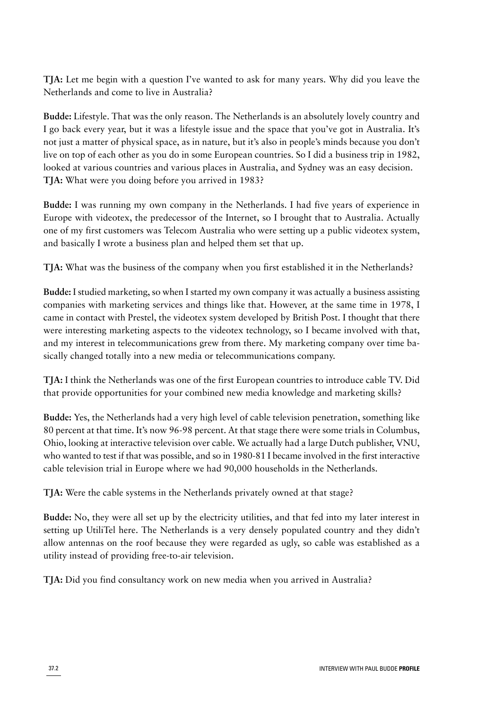**TJA:** Let me begin with a question I've wanted to ask for many years. Why did you leave the Netherlands and come to live in Australia?

**Budde:** Lifestyle. That was the only reason. The Netherlands is an absolutely lovely country and I go back every year, but it was a lifestyle issue and the space that you've got in Australia. It's not just a matter of physical space, as in nature, but it's also in people's minds because you don't live on top of each other as you do in some European countries. So I did a business trip in 1982, looked at various countries and various places in Australia, and Sydney was an easy decision. **TJA:** What were you doing before you arrived in 1983?

**Budde:** I was running my own company in the Netherlands. I had five years of experience in Europe with videotex, the predecessor of the Internet, so I brought that to Australia. Actually one of my first customers was Telecom Australia who were setting up a public videotex system, and basically I wrote a business plan and helped them set that up.

**TJA:** What was the business of the company when you first established it in the Netherlands?

**Budde:** I studied marketing, so when I started my own company it was actually a business assisting companies with marketing services and things like that. However, at the same time in 1978, I came in contact with Prestel, the videotex system developed by British Post. I thought that there were interesting marketing aspects to the videotex technology, so I became involved with that, and my interest in telecommunications grew from there. My marketing company over time basically changed totally into a new media or telecommunications company.

**TJA:** I think the Netherlands was one of the first European countries to introduce cable TV. Did that provide opportunities for your combined new media knowledge and marketing skills?

**Budde:** Yes, the Netherlands had a very high level of cable television penetration, something like 80 percent at that time. It's now 96-98 percent. At that stage there were some trials in Columbus, Ohio, looking at interactive television over cable. We actually had a large Dutch publisher, VNU, who wanted to test if that was possible, and so in 1980-81 I became involved in the first interactive cable television trial in Europe where we had 90,000 households in the Netherlands.

**TJA:** Were the cable systems in the Netherlands privately owned at that stage?

**Budde:** No, they were all set up by the electricity utilities, and that fed into my later interest in setting up UtiliTel here. The Netherlands is a very densely populated country and they didn't allow antennas on the roof because they were regarded as ugly, so cable was established as a utility instead of providing free-to-air television.

**TJA:** Did you find consultancy work on new media when you arrived in Australia?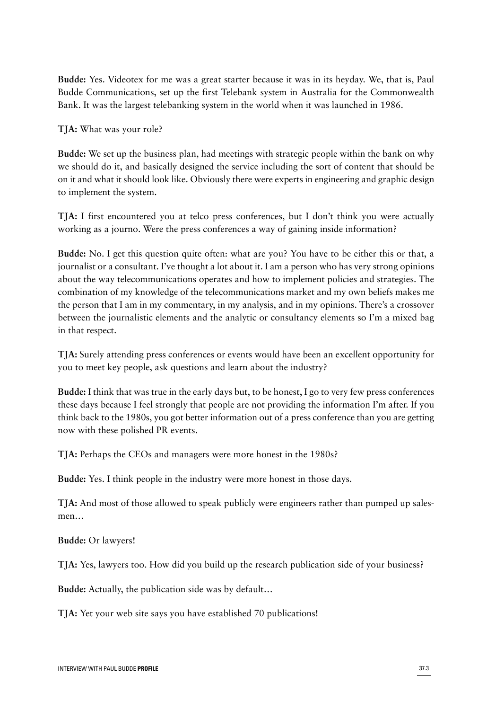**Budde:** Yes. Videotex for me was a great starter because it was in its heyday. We, that is, Paul Budde Communications, set up the first Telebank system in Australia for the Commonwealth Bank. It was the largest telebanking system in the world when it was launched in 1986.

#### **TJA:** What was your role?

**Budde:** We set up the business plan, had meetings with strategic people within the bank on why we should do it, and basically designed the service including the sort of content that should be on it and what it should look like. Obviously there were experts in engineering and graphic design to implement the system.

**TJA:** I first encountered you at telco press conferences, but I don't think you were actually working as a journo. Were the press conferences a way of gaining inside information?

**Budde:** No. I get this question quite often: what are you? You have to be either this or that, a journalist or a consultant. I've thought a lot about it. I am a person who has very strong opinions about the way telecommunications operates and how to implement policies and strategies. The combination of my knowledge of the telecommunications market and my own beliefs makes me the person that I am in my commentary, in my analysis, and in my opinions. There's a crossover between the journalistic elements and the analytic or consultancy elements so I'm a mixed bag in that respect.

**TJA:** Surely attending press conferences or events would have been an excellent opportunity for you to meet key people, ask questions and learn about the industry?

**Budde:** I think that was true in the early days but, to be honest, I go to very few press conferences these days because I feel strongly that people are not providing the information I'm after. If you think back to the 1980s, you got better information out of a press conference than you are getting now with these polished PR events.

**TJA:** Perhaps the CEOs and managers were more honest in the 1980s?

**Budde:** Yes. I think people in the industry were more honest in those days.

**TJA:** And most of those allowed to speak publicly were engineers rather than pumped up salesmen…

**Budde:** Or lawyers!

**TJA:** Yes, lawyers too. How did you build up the research publication side of your business?

**Budde:** Actually, the publication side was by default…

**TJA:** Yet your web site says you have established 70 publications!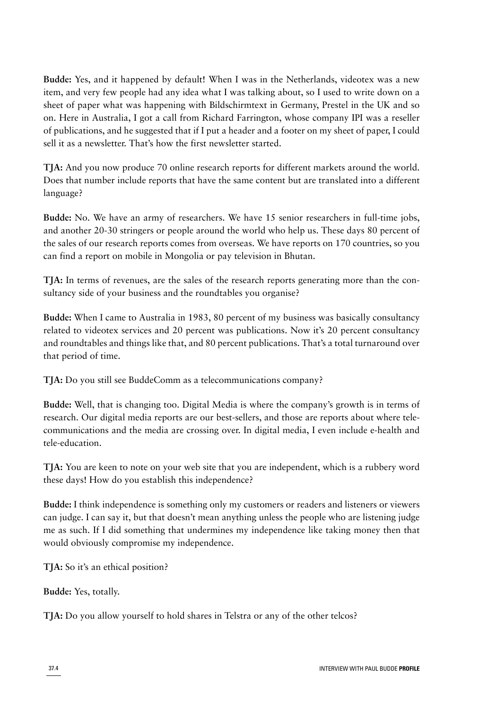**Budde:** Yes, and it happened by default! When I was in the Netherlands, videotex was a new item, and very few people had any idea what I was talking about, so I used to write down on a sheet of paper what was happening with Bildschirmtext in Germany, Prestel in the UK and so on. Here in Australia, I got a call from Richard Farrington, whose company IPI was a reseller of publications, and he suggested that if I put a header and a footer on my sheet of paper, I could sell it as a newsletter. That's how the first newsletter started.

**TJA:** And you now produce 70 online research reports for different markets around the world. Does that number include reports that have the same content but are translated into a different language?

**Budde:** No. We have an army of researchers. We have 15 senior researchers in full-time jobs, and another 20-30 stringers or people around the world who help us. These days 80 percent of the sales of our research reports comes from overseas. We have reports on 170 countries, so you can find a report on mobile in Mongolia or pay television in Bhutan.

**TJA:** In terms of revenues, are the sales of the research reports generating more than the consultancy side of your business and the roundtables you organise?

**Budde:** When I came to Australia in 1983, 80 percent of my business was basically consultancy related to videotex services and 20 percent was publications. Now it's 20 percent consultancy and roundtables and things like that, and 80 percent publications. That's a total turnaround over that period of time.

**TJA:** Do you still see BuddeComm as a telecommunications company?

**Budde:** Well, that is changing too. Digital Media is where the company's growth is in terms of research. Our digital media reports are our best-sellers, and those are reports about where telecommunications and the media are crossing over. In digital media, I even include e-health and tele-education.

**TJA:** You are keen to note on your web site that you are independent, which is a rubbery word these days! How do you establish this independence?

**Budde:** I think independence is something only my customers or readers and listeners or viewers can judge. I can say it, but that doesn't mean anything unless the people who are listening judge me as such. If I did something that undermines my independence like taking money then that would obviously compromise my independence.

**TJA:** So it's an ethical position?

**Budde:** Yes, totally.

**TJA:** Do you allow yourself to hold shares in Telstra or any of the other telcos?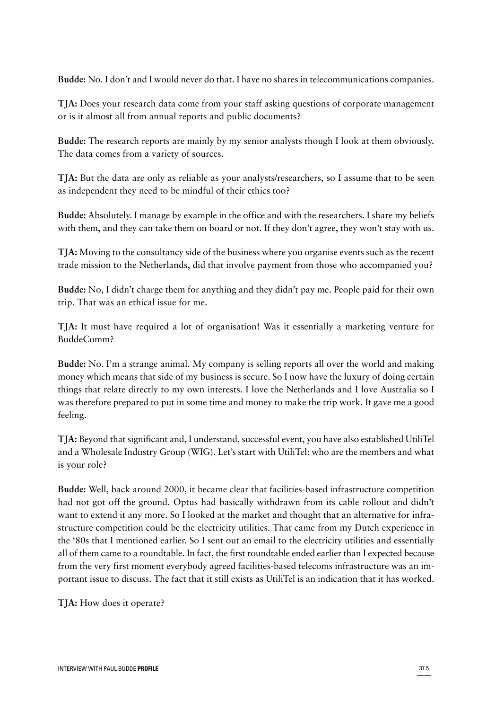**Budde:** No. I don't and I would never do that. I have no shares in telecommunications companies.

**TJA:** Does your research data come from your staff asking questions of corporate management or is it almost all from annual reports and public documents?

**Budde:** The research reports are mainly by my senior analysts though I look at them obviously. The data comes from a variety of sources.

**TJA:** But the data are only as reliable as your analysts/researchers, so I assume that to be seen as independent they need to be mindful of their ethics too?

**Budde:** Absolutely. I manage by example in the office and with the researchers. I share my beliefs with them, and they can take them on board or not. If they don't agree, they won't stay with us.

**TJA:** Moving to the consultancy side of the business where you organise events such as the recent trade mission to the Netherlands, did that involve payment from those who accompanied you?

**Budde:** No, I didn't charge them for anything and they didn't pay me. People paid for their own trip. That was an ethical issue for me.

**TJA:** It must have required a lot of organisation! Was it essentially a marketing venture for BuddeComm?

**Budde:** No. I'm a strange animal. My company is selling reports all over the world and making money which means that side of my business is secure. So I now have the luxury of doing certain things that relate directly to my own interests. I love the Netherlands and I love Australia so I was therefore prepared to put in some time and money to make the trip work. It gave me a good feeling.

**TJA:** Beyond that significant and, I understand, successful event, you have also established UtiliTel and a Wholesale Industry Group (WIG). Let's start with UtiliTel: who are the members and what is your role?

**Budde:** Well, back around 2000, it became clear that facilities-based infrastructure competition had not got off the ground. Optus had basically withdrawn from its cable rollout and didn't want to extend it any more. So I looked at the market and thought that an alternative for infrastructure competition could be the electricity utilities. That came from my Dutch experience in the '80s that I mentioned earlier. So I sent out an email to the electricity utilities and essentially all of them came to a roundtable. In fact, the first roundtable ended earlier than I expected because from the very first moment everybody agreed facilities-based telecoms infrastructure was an important issue to discuss. The fact that it still exists as UtiliTel is an indication that it has worked.

**TJA:** How does it operate?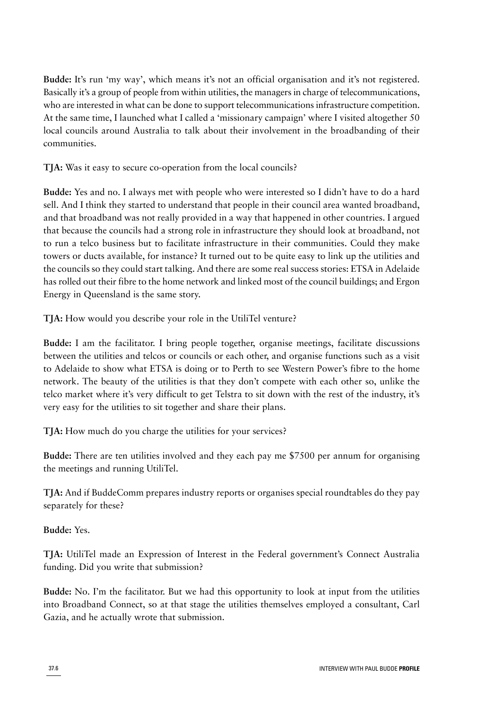**Budde:** It's run 'my way', which means it's not an official organisation and it's not registered. Basically it's a group of people from within utilities, the managers in charge of telecommunications, who are interested in what can be done to support telecommunications infrastructure competition. At the same time, I launched what I called a 'missionary campaign' where I visited altogether 50 local councils around Australia to talk about their involvement in the broadbanding of their communities.

**TJA:** Was it easy to secure co-operation from the local councils?

**Budde:** Yes and no. I always met with people who were interested so I didn't have to do a hard sell. And I think they started to understand that people in their council area wanted broadband, and that broadband was not really provided in a way that happened in other countries. I argued that because the councils had a strong role in infrastructure they should look at broadband, not to run a telco business but to facilitate infrastructure in their communities. Could they make towers or ducts available, for instance? It turned out to be quite easy to link up the utilities and the councils so they could start talking. And there are some real success stories: ETSA in Adelaide has rolled out their fibre to the home network and linked most of the council buildings; and Ergon Energy in Queensland is the same story.

**TJA:** How would you describe your role in the UtiliTel venture?

**Budde:** I am the facilitator. I bring people together, organise meetings, facilitate discussions between the utilities and telcos or councils or each other, and organise functions such as a visit to Adelaide to show what ETSA is doing or to Perth to see Western Power's fibre to the home network. The beauty of the utilities is that they don't compete with each other so, unlike the telco market where it's very difficult to get Telstra to sit down with the rest of the industry, it's very easy for the utilities to sit together and share their plans.

**TJA:** How much do you charge the utilities for your services?

**Budde:** There are ten utilities involved and they each pay me \$7500 per annum for organising the meetings and running UtiliTel.

**TJA:** And if BuddeComm prepares industry reports or organises special roundtables do they pay separately for these?

**Budde:** Yes.

**TJA:** UtiliTel made an Expression of Interest in the Federal government's Connect Australia funding. Did you write that submission?

**Budde:** No. I'm the facilitator. But we had this opportunity to look at input from the utilities into Broadband Connect, so at that stage the utilities themselves employed a consultant, Carl Gazia, and he actually wrote that submission.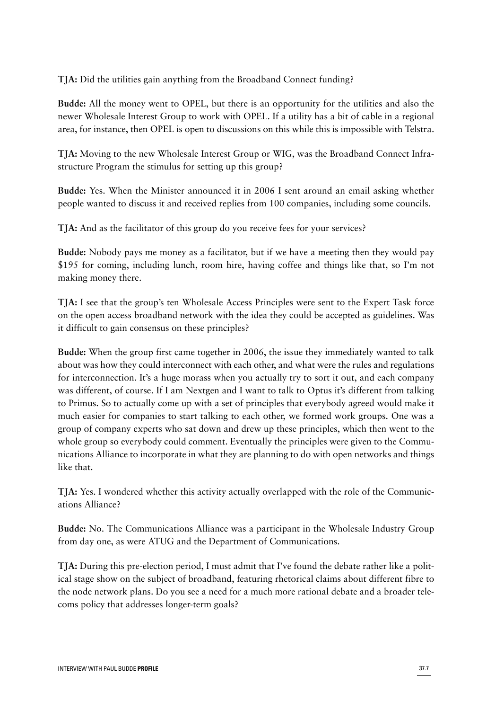**TJA:** Did the utilities gain anything from the Broadband Connect funding?

**Budde:** All the money went to OPEL, but there is an opportunity for the utilities and also the newer Wholesale Interest Group to work with OPEL. If a utility has a bit of cable in a regional area, for instance, then OPEL is open to discussions on this while this is impossible with Telstra.

**TJA:** Moving to the new Wholesale Interest Group or WIG, was the Broadband Connect Infrastructure Program the stimulus for setting up this group?

**Budde:** Yes. When the Minister announced it in 2006 I sent around an email asking whether people wanted to discuss it and received replies from 100 companies, including some councils.

**TJA:** And as the facilitator of this group do you receive fees for your services?

**Budde:** Nobody pays me money as a facilitator, but if we have a meeting then they would pay \$195 for coming, including lunch, room hire, having coffee and things like that, so I'm not making money there.

**TJA:** I see that the group's ten Wholesale Access Principles were sent to the Expert Task force on the open access broadband network with the idea they could be accepted as guidelines. Was it difficult to gain consensus on these principles?

**Budde:** When the group first came together in 2006, the issue they immediately wanted to talk about was how they could interconnect with each other, and what were the rules and regulations for interconnection. It's a huge morass when you actually try to sort it out, and each company was different, of course. If I am Nextgen and I want to talk to Optus it's different from talking to Primus. So to actually come up with a set of principles that everybody agreed would make it much easier for companies to start talking to each other, we formed work groups. One was a group of company experts who sat down and drew up these principles, which then went to the whole group so everybody could comment. Eventually the principles were given to the Communications Alliance to incorporate in what they are planning to do with open networks and things like that.

**TJA:** Yes. I wondered whether this activity actually overlapped with the role of the Communications Alliance?

**Budde:** No. The Communications Alliance was a participant in the Wholesale Industry Group from day one, as were ATUG and the Department of Communications.

**TJA:** During this pre-election period, I must admit that I've found the debate rather like a political stage show on the subject of broadband, featuring rhetorical claims about different fibre to the node network plans. Do you see a need for a much more rational debate and a broader telecoms policy that addresses longer-term goals?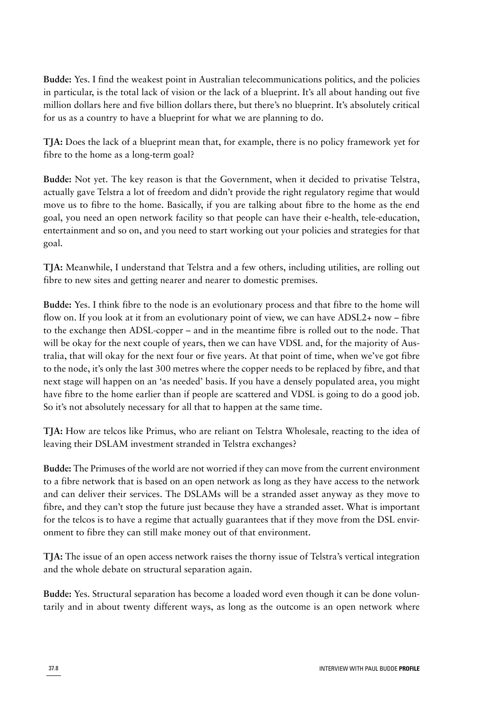**Budde:** Yes. I find the weakest point in Australian telecommunications politics, and the policies in particular, is the total lack of vision or the lack of a blueprint. It's all about handing out five million dollars here and five billion dollars there, but there's no blueprint. It's absolutely critical for us as a country to have a blueprint for what we are planning to do.

**TJA:** Does the lack of a blueprint mean that, for example, there is no policy framework yet for fibre to the home as a long-term goal?

**Budde:** Not yet. The key reason is that the Government, when it decided to privatise Telstra, actually gave Telstra a lot of freedom and didn't provide the right regulatory regime that would move us to fibre to the home. Basically, if you are talking about fibre to the home as the end goal, you need an open network facility so that people can have their e-health, tele-education, entertainment and so on, and you need to start working out your policies and strategies for that goal.

**TJA:** Meanwhile, I understand that Telstra and a few others, including utilities, are rolling out fibre to new sites and getting nearer and nearer to domestic premises.

**Budde:** Yes. I think fibre to the node is an evolutionary process and that fibre to the home will flow on. If you look at it from an evolutionary point of view, we can have ADSL2+ now – fibre to the exchange then ADSL-copper – and in the meantime fibre is rolled out to the node. That will be okay for the next couple of years, then we can have VDSL and, for the majority of Australia, that will okay for the next four or five years. At that point of time, when we've got fibre to the node, it's only the last 300 metres where the copper needs to be replaced by fibre, and that next stage will happen on an 'as needed' basis. If you have a densely populated area, you might have fibre to the home earlier than if people are scattered and VDSL is going to do a good job. So it's not absolutely necessary for all that to happen at the same time.

**TJA:** How are telcos like Primus, who are reliant on Telstra Wholesale, reacting to the idea of leaving their DSLAM investment stranded in Telstra exchanges?

**Budde:** The Primuses of the world are not worried if they can move from the current environment to a fibre network that is based on an open network as long as they have access to the network and can deliver their services. The DSLAMs will be a stranded asset anyway as they move to fibre, and they can't stop the future just because they have a stranded asset. What is important for the telcos is to have a regime that actually guarantees that if they move from the DSL environment to fibre they can still make money out of that environment.

**TJA:** The issue of an open access network raises the thorny issue of Telstra's vertical integration and the whole debate on structural separation again.

**Budde:** Yes. Structural separation has become a loaded word even though it can be done voluntarily and in about twenty different ways, as long as the outcome is an open network where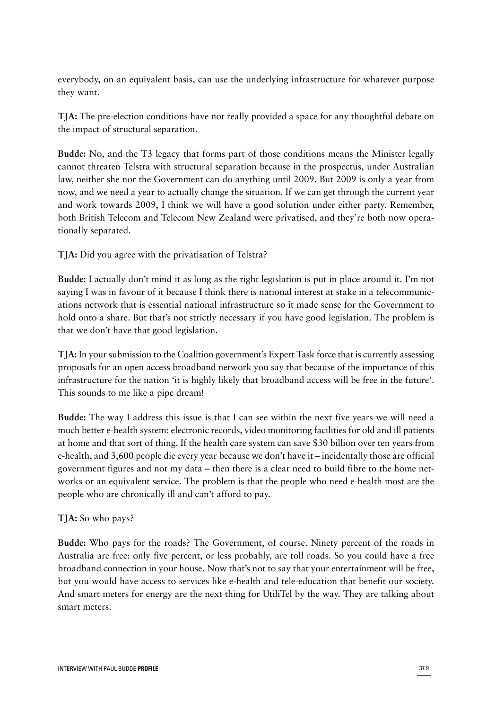everybody, on an equivalent basis, can use the underlying infrastructure for whatever purpose they want.

**TJA:** The pre-election conditions have not really provided a space for any thoughtful debate on the impact of structural separation.

**Budde:** No, and the T3 legacy that forms part of those conditions means the Minister legally cannot threaten Telstra with structural separation because in the prospectus, under Australian law, neither she nor the Government can do anything until 2009. But 2009 is only a year from now, and we need a year to actually change the situation. If we can get through the current year and work towards 2009, I think we will have a good solution under either party. Remember, both British Telecom and Telecom New Zealand were privatised, and they're both now operationally separated.

**TJA:** Did you agree with the privatisation of Telstra?

**Budde:** I actually don't mind it as long as the right legislation is put in place around it. I'm not saying I was in favour of it because I think there is national interest at stake in a telecommunications network that is essential national infrastructure so it made sense for the Government to hold onto a share. But that's not strictly necessary if you have good legislation. The problem is that we don't have that good legislation.

**TJA:** In your submission to the Coalition government's Expert Task force that is currently assessing proposals for an open access broadband network you say that because of the importance of this infrastructure for the nation 'it is highly likely that broadband access will be free in the future'. This sounds to me like a pipe dream!

**Budde:** The way I address this issue is that I can see within the next five years we will need a much better e-health system: electronic records, video monitoring facilities for old and ill patients at home and that sort of thing. If the health care system can save \$30 billion over ten years from e-health, and 3,600 people die every year because we don't have it – incidentally those are official government figures and not my data – then there is a clear need to build fibre to the home networks or an equivalent service. The problem is that the people who need e-health most are the people who are chronically ill and can't afford to pay.

### **TJA:** So who pays?

**Budde:** Who pays for the roads? The Government, of course. Ninety percent of the roads in Australia are free: only five percent, or less probably, are toll roads. So you could have a free broadband connection in your house. Now that's not to say that your entertainment will be free, but you would have access to services like e-health and tele-education that benefit our society. And smart meters for energy are the next thing for UtiliTel by the way. They are talking about smart meters.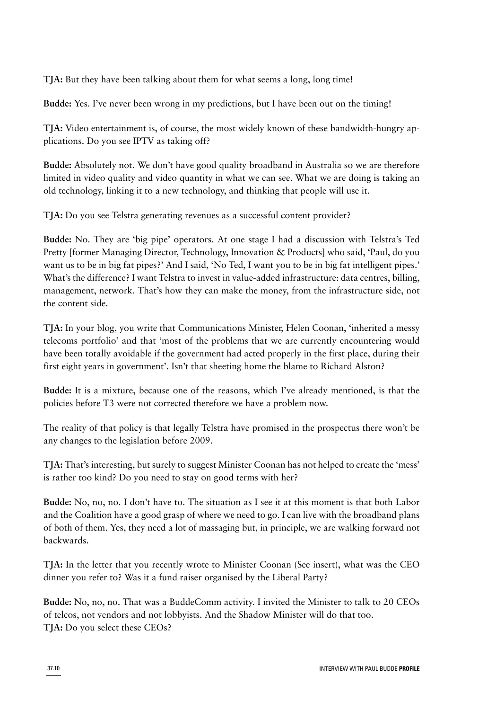**TJA:** But they have been talking about them for what seems a long, long time!

**Budde:** Yes. I've never been wrong in my predictions, but I have been out on the timing!

**TJA:** Video entertainment is, of course, the most widely known of these bandwidth-hungry applications. Do you see IPTV as taking off?

**Budde:** Absolutely not. We don't have good quality broadband in Australia so we are therefore limited in video quality and video quantity in what we can see. What we are doing is taking an old technology, linking it to a new technology, and thinking that people will use it.

**TJA:** Do you see Telstra generating revenues as a successful content provider?

**Budde:** No. They are 'big pipe' operators. At one stage I had a discussion with Telstra's Ted Pretty [former Managing Director, Technology, Innovation & Products] who said, 'Paul, do you want us to be in big fat pipes?' And I said, 'No Ted, I want you to be in big fat intelligent pipes.' What's the difference? I want Telstra to invest in value-added infrastructure: data centres, billing, management, network. That's how they can make the money, from the infrastructure side, not the content side.

**TJA:** In your blog, you write that Communications Minister, Helen Coonan, 'inherited a messy telecoms portfolio' and that 'most of the problems that we are currently encountering would have been totally avoidable if the government had acted properly in the first place, during their first eight years in government'. Isn't that sheeting home the blame to Richard Alston?

**Budde:** It is a mixture, because one of the reasons, which I've already mentioned, is that the policies before T3 were not corrected therefore we have a problem now.

The reality of that policy is that legally Telstra have promised in the prospectus there won't be any changes to the legislation before 2009.

**TJA:** That's interesting, but surely to suggest Minister Coonan has not helped to create the 'mess' is rather too kind? Do you need to stay on good terms with her?

**Budde:** No, no, no. I don't have to. The situation as I see it at this moment is that both Labor and the Coalition have a good grasp of where we need to go. I can live with the broadband plans of both of them. Yes, they need a lot of massaging but, in principle, we are walking forward not backwards.

**TJA:** In the letter that you recently wrote to Minister Coonan (See insert), what was the CEO dinner you refer to? Was it a fund raiser organised by the Liberal Party?

**Budde:** No, no, no. That was a BuddeComm activity. I invited the Minister to talk to 20 CEOs of telcos, not vendors and not lobbyists. And the Shadow Minister will do that too. **TJA:** Do you select these CEOs?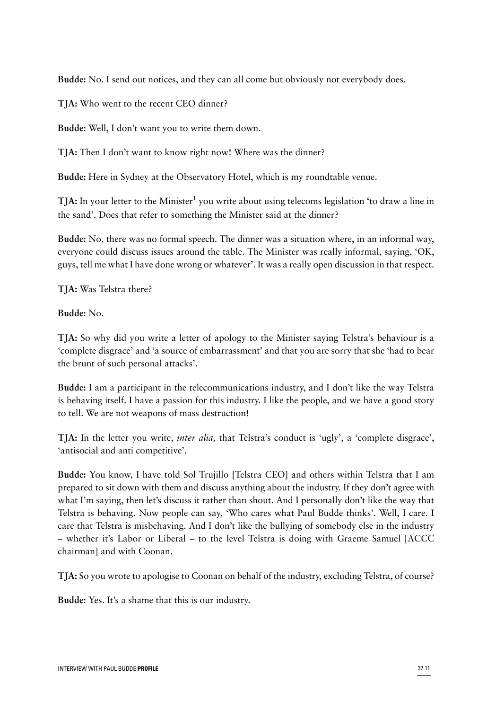**Budde:** No. I send out notices, and they can all come but obviously not everybody does.

**TJA:** Who went to the recent CEO dinner?

**Budde:** Well, I don't want you to write them down.

**TJA:** Then I don't want to know right now! Where was the dinner?

**Budde:** Here in Sydney at the Observatory Hotel, which is my roundtable venue.

**TJA:** In your letter to the Minister<sup>1</sup> you write about using telecoms legislation 'to draw a line in the sand'. Does that refer to something the Minister said at the dinner?

**Budde:** No, there was no formal speech. The dinner was a situation where, in an informal way, everyone could discuss issues around the table. The Minister was really informal, saying, 'OK, guys, tell me what I have done wrong or whatever'. It was a really open discussion in that respect.

**TJA:** Was Telstra there?

**Budde:** No.

**TJA:** So why did you write a letter of apology to the Minister saying Telstra's behaviour is a 'complete disgrace' and 'a source of embarrassment' and that you are sorry that she 'had to bear the brunt of such personal attacks'.

**Budde:** I am a participant in the telecommunications industry, and I don't like the way Telstra is behaving itself. I have a passion for this industry. I like the people, and we have a good story to tell. We are not weapons of mass destruction!

**TJA:** In the letter you write, *inter alia,* that Telstra's conduct is 'ugly', a 'complete disgrace', 'antisocial and anti competitive'.

**Budde:** You know, I have told Sol Trujillo [Telstra CEO] and others within Telstra that I am prepared to sit down with them and discuss anything about the industry. If they don't agree with what I'm saying, then let's discuss it rather than shout. And I personally don't like the way that Telstra is behaving. Now people can say, 'Who cares what Paul Budde thinks'. Well, I care. I care that Telstra is misbehaving. And I don't like the bullying of somebody else in the industry – whether it's Labor or Liberal – to the level Telstra is doing with Graeme Samuel [ACCC chairman] and with Coonan.

**TJA:** So you wrote to apologise to Coonan on behalf of the industry, excluding Telstra, of course?

**Budde:** Yes. It's a shame that this is our industry.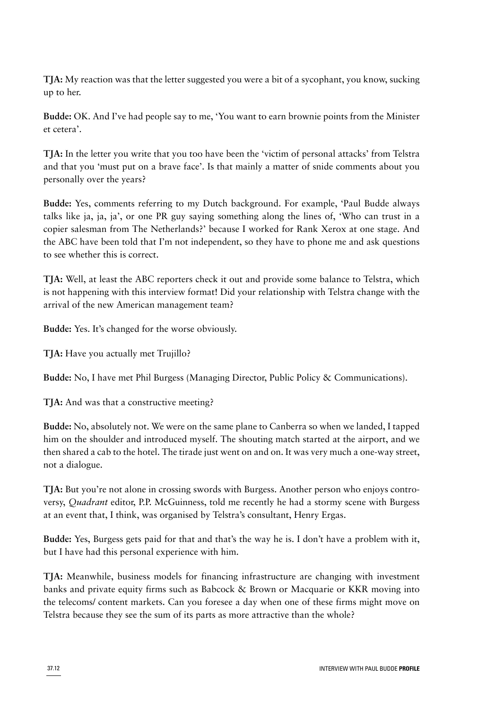**TJA:** My reaction was that the letter suggested you were a bit of a sycophant, you know, sucking up to her.

**Budde:** OK. And I've had people say to me, 'You want to earn brownie points from the Minister et cetera'.

**TJA:** In the letter you write that you too have been the 'victim of personal attacks' from Telstra and that you 'must put on a brave face'. Is that mainly a matter of snide comments about you personally over the years?

**Budde:** Yes, comments referring to my Dutch background. For example, 'Paul Budde always talks like ja, ja, ja', or one PR guy saying something along the lines of, 'Who can trust in a copier salesman from The Netherlands?' because I worked for Rank Xerox at one stage. And the ABC have been told that I'm not independent, so they have to phone me and ask questions to see whether this is correct.

**TJA:** Well, at least the ABC reporters check it out and provide some balance to Telstra, which is not happening with this interview format! Did your relationship with Telstra change with the arrival of the new American management team?

**Budde:** Yes. It's changed for the worse obviously.

**TJA:** Have you actually met Trujillo?

**Budde:** No, I have met Phil Burgess (Managing Director, Public Policy & Communications).

**TJA:** And was that a constructive meeting?

**Budde:** No, absolutely not. We were on the same plane to Canberra so when we landed, I tapped him on the shoulder and introduced myself. The shouting match started at the airport, and we then shared a cab to the hotel. The tirade just went on and on. It was very much a one-way street, not a dialogue.

**TJA:** But you're not alone in crossing swords with Burgess. Another person who enjoys controversy, *Quadrant* editor, P.P. McGuinness, told me recently he had a stormy scene with Burgess at an event that, I think, was organised by Telstra's consultant, Henry Ergas.

**Budde:** Yes, Burgess gets paid for that and that's the way he is. I don't have a problem with it, but I have had this personal experience with him.

**TJA:** Meanwhile, business models for financing infrastructure are changing with investment banks and private equity firms such as Babcock & Brown or Macquarie or KKR moving into the telecoms/ content markets. Can you foresee a day when one of these firms might move on Telstra because they see the sum of its parts as more attractive than the whole?